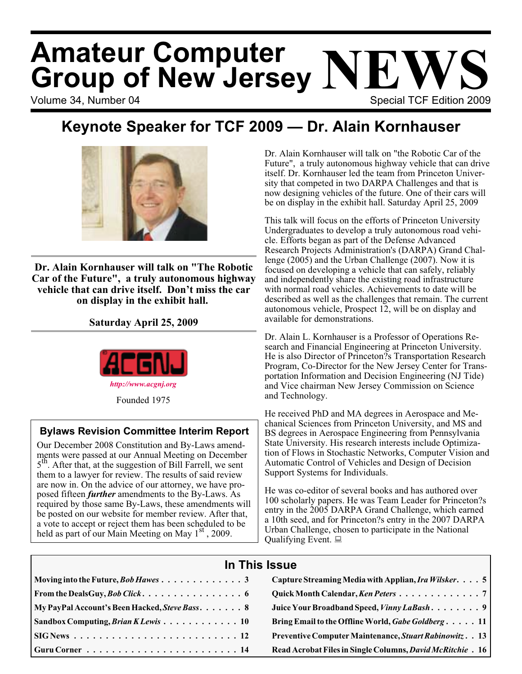# Volume 34, Number 04 Special TCF Edition 2009 **Amateur Computer Group of New Jersey NEWS**

# **Keynote Speaker for TCF 2009 — Dr. Alain Kornhauser**



**Dr. Alain Kornhauser will talk on "The Robotic Car of the Future", a truly autonomous highway vehicle that can drive itself. Don't miss the car on display in the exhibit hall.**

**Saturday April 25, 2009**



### **Bylaws Revision Committee Interim Report**

Our December 2008 Constitution and By-Laws amendments were passed at our Annual Meeting on December 5<sup>th</sup>. After that, at the suggestion of Bill Farrell, we sent them to a lawyer for review. The results of said review are now in. On the advice of our attorney, we have proposed fifteen *further* amendments to the By-Laws. As required by those same By-Laws, these amendments will be posted on our website for member review. After that, a vote to accept or reject them has been scheduled to be held as part of our Main Meeting on May  $1<sup>st</sup>$ , 2009.

Dr. Alain Kornhauser will talk on "the Robotic Car of the Future", a truly autonomous highway vehicle that can drive itself. Dr. Kornhauser led the team from Princeton University that competed in two DARPA Challenges and that is now designing vehicles of the future. One of their cars will be on display in the exhibit hall. Saturday April 25, 2009

This talk will focus on the efforts of Princeton University Undergraduates to develop a truly autonomous road vehicle. Efforts began as part of the Defense Advanced Research Projects Administration's (DARPA) Grand Challenge (2005) and the Urban Challenge (2007). Now it is focused on developing a vehicle that can safely, reliably and independently share the existing road infrastructure with normal road vehicles. Achievements to date will be described as well as the challenges that remain. The current autonomous vehicle, Prospect 12, will be on display and available for demonstrations.

Dr. Alain L. Kornhauser is a Professor of Operations Research and Financial Engineering at Princeton University. He is also Director of Princeton?s Transportation Research Program, Co-Director for the New Jersey Center for Transportation Information and Decision Engineering (NJ Tide) and Vice chairman New Jersey Commission on Science and Technology.

He received PhD and MA degrees in Aerospace and Mechanical Sciences from Princeton University, and MS and BS degrees in Aerospace Engineering from Pennsylvania State University. His research interests include Optimization of Flows in Stochastic Networks, Computer Vision and Automatic Control of Vehicles and Design of Decision Support Systems for Individuals.

He was co-editor of several books and has authored over 100 scholarly papers. He was Team Leader for Princeton?s entry in the 2005 DARPA Grand Challenge, which earned a 10th seed, and for Princeton?s entry in the 2007 DARPA Urban Challenge, chosen to participate in the National Qualifying Event.

### **In This Issue**

|                                                    | Capture Streaming Media with Applian, <i>Ira Wilsker.</i> 5 |
|----------------------------------------------------|-------------------------------------------------------------|
|                                                    |                                                             |
| My PayPal Account's Been Hacked, Steve Bass 8      | Juice Your Broadband Speed, Vinny LaBash 9                  |
| $\vert$ Sandbox Computing, <i>Brian K Lewis</i> 10 | Bring Email to the Offline World, Gabe Goldberg 11          |
|                                                    | Preventive Computer Maintenance, Stuart Rabinowitz. . 13    |
|                                                    | Read Acrobat Files in Single Columns, David McRitchie. 16   |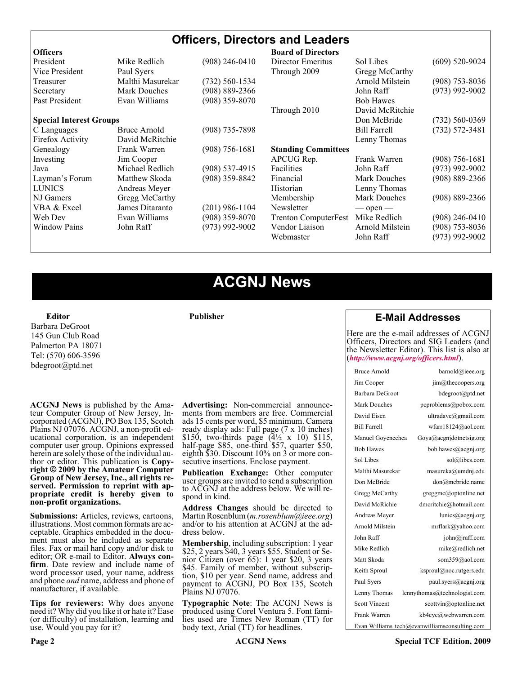### **Officers, Directors and Leaders**

| <b>Officers</b>                |                     |                    | <b>Board of Directors</b>   |                     |                    |
|--------------------------------|---------------------|--------------------|-----------------------------|---------------------|--------------------|
| President                      | Mike Redlich        | $(908)$ 246-0410   | Director Emeritus           | Sol Libes           | $(609)$ 520-9024   |
| Vice President                 | Paul Syers          |                    | Through 2009                | Gregg McCarthy      |                    |
| Treasurer                      | Malthi Masurekar    | $(732) 560 - 1534$ |                             | Arnold Milstein     | $(908)$ 753-8036   |
| Secretary                      | <b>Mark Douches</b> | $(908) 889 - 2366$ |                             | John Raff           | $(973)$ 992-9002   |
| Past President                 | Evan Williams       | (908) 359-8070     |                             | <b>Bob Hawes</b>    |                    |
|                                |                     |                    | Through 2010                | David McRitchie     |                    |
| <b>Special Interest Groups</b> |                     |                    |                             | Don McBride         | $(732)$ 560-0369   |
| C Languages                    | <b>Bruce Arnold</b> | $(908)$ 735-7898   |                             | <b>Bill Farrell</b> | $(732) 572 - 3481$ |
| Firefox Activity               | David McRitchie     |                    |                             | Lenny Thomas        |                    |
| Genealogy                      | Frank Warren        | $(908) 756 - 1681$ | <b>Standing Committees</b>  |                     |                    |
| Investing                      | Jim Cooper          |                    | APCUG Rep.                  | Frank Warren        | $(908)$ 756-1681   |
| Java                           | Michael Redlich     | $(908)$ 537-4915   | Facilities                  | John Raff           | $(973)$ 992-9002   |
| Layman's Forum                 | Matthew Skoda       | $(908)$ 359-8842   | Financial                   | <b>Mark Douches</b> | $(908) 889 - 2366$ |
| <b>LUNICS</b>                  | Andreas Meyer       |                    | Historian                   | Lenny Thomas        |                    |
| NJ Gamers                      | Gregg McCarthy      |                    | Membership                  | <b>Mark Douches</b> | $(908) 889 - 2366$ |
| VBA & Excel                    | James Ditaranto     | $(201)$ 986-1104   | Newsletter                  | $-$ open $-$        |                    |
| Web Dev                        | Evan Williams       | $(908)$ 359-8070   | <b>Trenton ComputerFest</b> | Mike Redlich        | $(908)$ 246-0410   |
| <b>Window Pains</b>            | John Raff           | $(973)$ 992-9002   | Vendor Liaison              | Arnold Milstein     | $(908)$ 753-8036   |
|                                |                     |                    | Webmaster                   | John Raff           | $(973)$ 992-9002   |
|                                |                     |                    |                             |                     |                    |

### **ACGNJ News**

**Publisher**

**Editor** Barbara DeGroot 145 Gun Club Road Palmerton PA 18071 Tel: (570) 606-3596 bdegroot@ptd.net

**ACGNJ News** is published by the Ama- teur Computer Group of New Jersey, In- corporated (ACGNJ), PO Box 135, Scotch Plains NJ 07076. ACGNJ, a non-profit ed- ucational corporation, is an independent computer user group. Opinions expressed herein are solely those of the individual author or editor. This publication is **Copy-**<br>**right** © 2009 by the Amateur Computer<br>**Group of New Jersey, Inc., all rights re-Group of New Jersey, Inc., all rights re- served. Permission to reprint with ap- propriate credit is hereby given to non-profit organizations.**

**Submissions:** Articles, reviews, cartoons, illustrations. Most common formats are ac- ceptable. Graphics embedded in the docu- ment must also be included as separate files. Fax or mail hard copy and/or disk to editor; OR e-mail to Editor. Always confirm. Date review and include name of word processor used, your name, address and phone *and* name, address and phone of manufacturer, if available.

**Tips for reviewers:** Why does anyone need it? Why did you like it or hate it? Ease (or difficulty) of installation, learning and use. Would you pay for it?

**Advertising:** Non-commercial announce- ments from members are free. Commercial ads 15 cents per word, \$5 minimum. Camera ready display ads: Full page (7 x 10 inches) \$150, two-thirds page  $(4\frac{1}{2} \times 10)$  \$115, half-page \$85, one-third \$57, quarter \$50, eighth \$30. Discount 10% on 3 or more con- secutive insertions. Enclose payment.

**Publication Exchange:** Other computer user groups are invited to send a subscription to ACGNJ at the address below. We will re- spond in kind.

**Address Changes** should be directed to Martin Rosenblum (*m.rosenblum@ieee.org*) and/or to his attention at ACGNJ at the ad- dress below.

**Membership**, including subscription: 1 year \$25, 2 years \$40, 3 years \$55. Student or Senior Citizen (over 65): 1 year \$20, 3 years \$45. Family of member, without subscription, \$10 per year. Send name, address and payment to ACGNJ, PO Box 135, Scotch Plains NJ 07076.

**Typographic Note**: The ACGNJ News is produced using Corel Ventura 5. Font fami- lies used are Times New Roman (TT) for body text, Arial (TT) for headlines.

#### **E-Mail Addresses**

Here are the e-mail addresses of ACGNJ Officers, Directors and SIG Leaders (and the Newsletter Editor). This list is also at (*<http://www.acgnj.org/officers.html>*).

| Bruce Arnold         | barnold@ieee.org                              |
|----------------------|-----------------------------------------------|
| Jim Cooper           | jim@thecoopers.org                            |
| Barbara DeGroot      | bdegroot@ptd.net                              |
| Mark Douches         | pcproblems@pobox.com                          |
| David Eisen          | ultradave@gmail.com                           |
| <b>Bill Farrell</b>  | wfarr18124@aol.com                            |
| Manuel Goyenechea    | Goya@acgnidotnetsig.org                       |
| <b>Bob Hawes</b>     | bob.hawes@acgnj.org                           |
| Sol Libes            | sol@libes.com                                 |
| Malthi Masurekar     | masureka@umdnj.edu                            |
| Don McBride          | don@mcbride.name                              |
| Gregg McCarthy       | greggmc@optonline.net                         |
| David McRichie       | dmcritchie@hotmail.com                        |
| Andreas Meyer        | lunics@acgnj.org                              |
| Arnold Milstein      | mrflark@yahoo.com                             |
| John Raff            | john@jraff.com                                |
| Mike Redlich         | mike@redlich.net                              |
| Matt Skoda           | som359@aol.com                                |
| Keith Sproul         | ksproul@noc.rutgers.edu                       |
| Paul Syers           | paul.syers@acgnj.org                          |
| Lenny Thomas         | lennythomas@technologist.com                  |
| <b>Scott Vincent</b> | scottvin@optonline.net                        |
| Frank Warren         | kb4cyc@webwarren.com                          |
|                      | Evan Williams tech@evanwilliamsconsulting.com |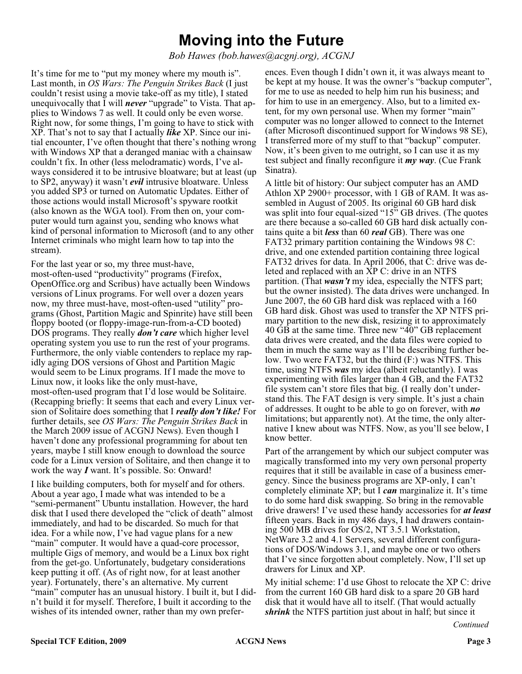# **Moving into the Future**

*Bob Hawes (bob.hawes@acgnj.org), ACGNJ*

It's time for me to "put my money where my mouth is". Last month, in *OS Wars: The Penguin Strikes Back* (I just couldn't resist using a movie take-off as my title), I stated unequivocally that I will *never* "upgrade" to Vista. That applies to Windows 7 as well. It could only be even worse. Right now, for some things, I'm going to have to stick with XP. That's not to say that I actually *like* XP. Since our initial encounter, I've often thought that there's nothing wrong with Windows XP that a deranged maniac with a chainsaw couldn't fix. In other (less melodramatic) words, I've always considered it to be intrusive bloatware; but at least (up to SP2, anyway) it wasn't *evil* intrusive bloatware. Unless you added SP3 or turned on Automatic Updates. Either of those actions would install Microsoft's spyware rootkit (also known as the WGA tool). From then on, your computer would turn against you, sending who knows what kind of personal information to Microsoft (and to any other Internet criminals who might learn how to tap into the stream).

For the last year or so, my three must-have, most-often-used "productivity" programs (Firefox, OpenOffice.org and Scribus) have actually been Windows versions of Linux programs. For well over a dozen years now, my three must-have, most-often-used "utility" programs (Ghost, Partition Magic and Spinrite) have still been floppy booted (or floppy-image-run-from-a-CD booted) DOS programs. They really *don't care* which higher level operating system you use to run the rest of your programs. Furthermore, the only viable contenders to replace my rapidly aging DOS versions of Ghost and Partition Magic would seem to be Linux programs. If I made the move to Linux now, it looks like the only must-have, most-often-used program that I'd lose would be Solitaire. (Recapping briefly: It seems that each and every Linux version of Solitaire does something that I *really don't like!* For further details, see *OS Wars: The Penguin Strikes Back* in the March 2009 issue of ACGNJ News). Even though I haven't done any professional programming for about ten years, maybe I still know enough to download the source code for a Linux version of Solitaire, and then change it to work the way *I* want. It's possible. So: Onward!

I like building computers, both for myself and for others. About a year ago, I made what was intended to be a "semi-permanent" Ubuntu installation. However, the hard disk that I used there developed the "click of death" almost immediately, and had to be discarded. So much for that idea. For a while now, I've had vague plans for a new "main" computer. It would have a quad-core processor, multiple Gigs of memory, and would be a Linux box right from the get-go. Unfortunately, budgetary considerations keep putting it off. (As of right now, for at least another year). Fortunately, there's an alternative. My current "main" computer has an unusual history. I built it, but I didn't build it for myself. Therefore, I built it according to the wishes of its intended owner, rather than my own prefer-

ences. Even though I didn't own it, it was always meant to be kept at my house. It was the owner's "backup computer", for me to use as needed to help him run his business; and for him to use in an emergency. Also, but to a limited extent, for my own personal use. When my former "main" computer was no longer allowed to connect to the Internet (after Microsoft discontinued support for Windows 98 SE), I transferred more of my stuff to that "backup" computer. Now, it's been given to me outright, so I can use it as my test subject and finally reconfigure it *my way*. (Cue Frank Sinatra).

A little bit of history: Our subject computer has an AMD Athlon XP 2900+ processor, with 1 GB of RAM. It was assembled in August of 2005. Its original 60 GB hard disk was split into four equal-sized "15" GB drives. (The quotes are there because a so-called 60 GB hard disk actually contains quite a bit *less* than 60 *real* GB). There was one FAT32 primary partition containing the Windows 98 C: drive, and one extended partition containing three logical FAT32 drives for data. In April 2006, that C: drive was deleted and replaced with an XP C: drive in an NTFS partition. (That *wasn't* my idea, especially the NTFS part; but the owner insisted). The data drives were unchanged. In June 2007, the 60 GB hard disk was replaced with a 160 GB hard disk. Ghost was used to transfer the XP NTFS primary partition to the new disk, resizing it to approximately 40 GB at the same time. Three new "40" GB replacement data drives were created, and the data files were copied to them in much the same way as I'll be describing further below. Two were FAT32, but the third (F:) was NTFS. This time, using NTFS *was* my idea (albeit reluctantly). I was experimenting with files larger than 4 GB, and the FAT32 file system can't store files that big. (I really don't understand this. The FAT design is very simple. It's just a chain of addresses. It ought to be able to go on forever, with *no* limitations; but apparently not). At the time, the only alternative I knew about was NTFS. Now, as you'll see below, I know better.

Part of the arrangement by which our subject computer was magically transformed into my very own personal property requires that it still be available in case of a business emergency. Since the business programs are XP-only, I can't completely eliminate XP; but I *can* marginalize it. It's time to do some hard disk swapping. So bring in the removable drive drawers! I've used these handy accessories for *at least* fifteen years. Back in my 486 days, I had drawers containing 500 MB drives for OS/2, NT 3.5.1 Workstation, NetWare 3.2 and 4.1 Servers, several different configurations of DOS/Windows 3.1, and maybe one or two others that I've since forgotten about completely. Now, I'll set up drawers for Linux and XP.

My initial scheme: I'd use Ghost to relocate the XP C: drive from the current 160 GB hard disk to a spare 20 GB hard disk that it would have all to itself. (That would actually *shrink* the NTFS partition just about in half; but since it

*Continued*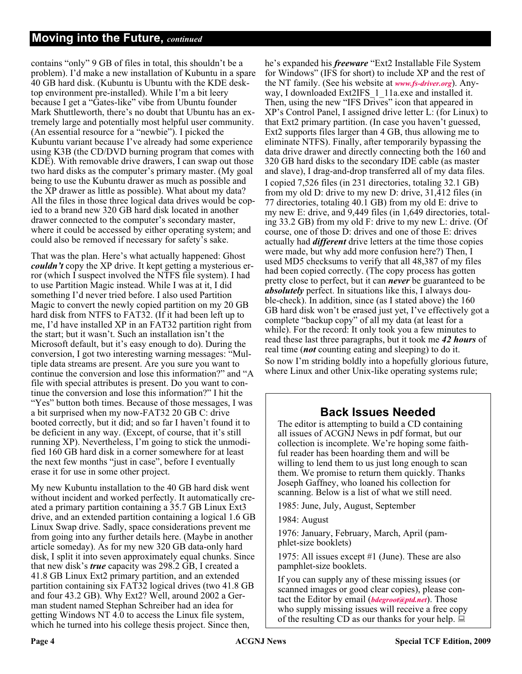contains "only" 9 GB of files in total, this shouldn't be a problem). I'd make a new installation of Kubuntu in a spare 40 GB hard disk. (Kubuntu is Ubuntu with the KDE desktop environment pre-installed). While I'm a bit leery because I get a "Gates-like" vibe from Ubuntu founder Mark Shuttleworth, there's no doubt that Ubuntu has an extremely large and potentially most helpful user community. (An essential resource for a "newbie"). I picked the Kubuntu variant because I've already had some experience using K3B (the CD/DVD burning program that comes with KDE). With removable drive drawers, I can swap out those two hard disks as the computer's primary master. (My goal being to use the Kubuntu drawer as much as possible and the XP drawer as little as possible). What about my data? All the files in those three logical data drives would be copied to a brand new 320 GB hard disk located in another drawer connected to the computer's secondary master, where it could be accessed by either operating system; and could also be removed if necessary for safety's sake.

That was the plan. Here's what actually happened: Ghost *couldn't* copy the XP drive. It kept getting a mysterious error (which I suspect involved the NTFS file system). I had to use Partition Magic instead. While I was at it, I did something I'd never tried before. I also used Partition Magic to convert the newly copied partition on my 20 GB hard disk from NTFS to FAT32. (If it had been left up to me, I'd have installed XP in an FAT32 partition right from the start; but it wasn't. Such an installation isn't the Microsoft default, but it's easy enough to do). During the conversion, I got two interesting warning messages: "Multiple data streams are present. Are you sure you want to continue the conversion and lose this information?" and "A file with special attributes is present. Do you want to continue the conversion and lose this information?" I hit the "Yes" button both times. Because of those messages, I was a bit surprised when my now-FAT32 20 GB C: drive booted correctly, but it did; and so far I haven't found it to be deficient in any way. (Except, of course, that it's still running XP). Nevertheless, I'm going to stick the unmodified 160 GB hard disk in a corner somewhere for at least the next few months "just in case", before I eventually erase it for use in some other project.

My new Kubuntu installation to the 40 GB hard disk went without incident and worked perfectly. It automatically created a primary partition containing a 35.7 GB Linux Ext3 drive, and an extended partition containing a logical 1.6 GB Linux Swap drive. Sadly, space considerations prevent me from going into any further details here. (Maybe in another article someday). As for my new 320 GB data-only hard disk, I split it into seven approximately equal chunks. Since that new disk's *true* capacity was 298.2 GB, I created a 41.8 GB Linux Ext2 primary partition, and an extended partition containing six FAT32 logical drives (two 41.8 GB and four 43.2 GB). Why Ext2? Well, around 2002 a German student named Stephan Schreiber had an idea for getting Windows NT 4.0 to access the Linux file system, which he turned into his college thesis project. Since then,

he's expanded his *freeware* "Ext2 Installable File System for Windows" (IFS for short) to include XP and the rest of the NT family. (See his website at *[www.fs-driver.org](http://www.fs-driver.org)*). Anyway, I downloaded Ext2IFS\_1\_11a.exe and installed it. Then, using the new "IFS Drives" icon that appeared in XP's Control Panel, I assigned drive letter L: (for Linux) to that Ext2 primary partition. (In case you haven't guessed, Ext2 supports files larger than 4 GB, thus allowing me to eliminate NTFS). Finally, after temporarily bypassing the data drive drawer and directly connecting both the 160 and 320 GB hard disks to the secondary IDE cable (as master and slave), I drag-and-drop transferred all of my data files. I copied 7,526 files (in 231 directories, totaling 32.1 GB) from my old D: drive to my new D: drive, 31,412 files (in 77 directories, totaling 40.1 GB) from my old E: drive to my new E: drive, and 9,449 files (in 1,649 directories, totaling 33.2 GB) from my old F: drive to my new L: drive. (Of course, one of those D: drives and one of those E: drives actually had *different* drive letters at the time those copies were made, but why add more confusion here?) Then, I used MD5 checksums to verify that all 48,387 of my files had been copied correctly. (The copy process has gotten pretty close to perfect, but it can *never* be guaranteed to be *absolutely* perfect. In situations like this, I always double-check). In addition, since (as I stated above) the 160 GB hard disk won't be erased just yet, I've effectively got a complete "backup copy" of all my data (at least for a while). For the record: It only took you a few minutes to read these last three paragraphs, but it took me *42 hours* of real time (*not* counting eating and sleeping) to do it. So now I'm striding boldly into a hopefully glorious future, where Linux and other Unix-like operating systems rule;

### **Back Issues Needed**

The editor is attempting to build a CD containing all issues of ACGNJ News in pdf format, but our collection is incomplete. We're hoping some faithful reader has been hoarding them and will be willing to lend them to us just long enough to scan them. We promise to return them quickly. Thanks Joseph Gaffney, who loaned his collection for scanning. Below is a list of what we still need.

1985: June, July, August, September

1984: August

1976: January, February, March, April (pamphlet-size booklets)

1975: All issues except #1 (June). These are also pamphlet-size booklets.

If you can supply any of these missing issues (or scanned images or good clear copies), please contact the Editor by email (*[bdegroot@ptd.net](mailto:bdegroot@ptd.net)*). Those who supply missing issues will receive a free copy of the resulting CD as our thanks for your help.  $\Box$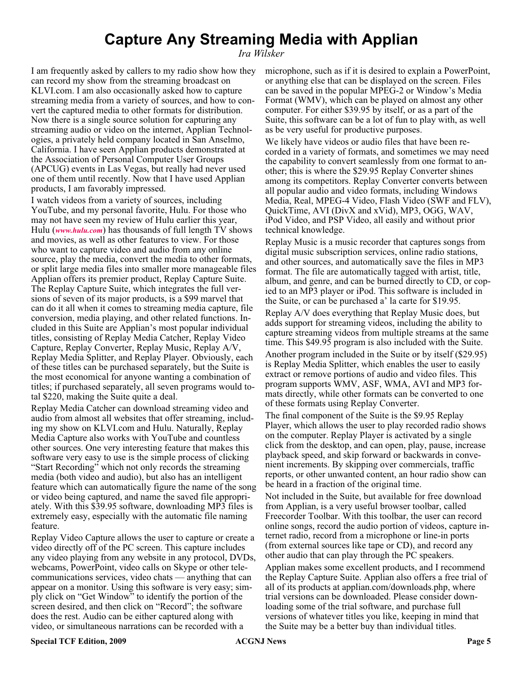# **Capture Any Streaming Media with Applian**

*Ira Wilsker*

I am frequently asked by callers to my radio show how they can record my show from the streaming broadcast on KLVI.com. I am also occasionally asked how to capture streaming media from a variety of sources, and how to convert the captured media to other formats for distribution. Now there is a single source solution for capturing any streaming audio or video on the internet, Applian Technologies, a privately held company located in San Anselmo, California. I have seen Applian products demonstrated at the Association of Personal Computer User Groups (APCUG) events in Las Vegas, but really had never used one of them until recently. Now that I have used Applian products, I am favorably impressed.

I watch videos from a variety of sources, including YouTube, and my personal favorite, Hulu. For those who may not have seen my review of Hulu earlier this year, Hulu (*[www.hulu.com](http://www.hulu.com)*) has thousands of full length TV shows and movies, as well as other features to view. For those who want to capture video and audio from any online source, play the media, convert the media to other formats, or split large media files into smaller more manageable files Applian offers its premier product, Replay Capture Suite. The Replay Capture Suite, which integrates the full versions of seven of its major products, is a \$99 marvel that can do it all when it comes to streaming media capture, file conversion, media playing, and other related functions. Included in this Suite are Applian's most popular individual titles, consisting of Replay Media Catcher, Replay Video Capture, Replay Converter, Replay Music, Replay A/V, Replay Media Splitter, and Replay Player. Obviously, each of these titles can be purchased separately, but the Suite is the most economical for anyone wanting a combination of titles; if purchased separately, all seven programs would total \$220, making the Suite quite a deal.

Replay Media Catcher can download streaming video and audio from almost all websites that offer streaming, including my show on KLVI.com and Hulu. Naturally, Replay Media Capture also works with YouTube and countless other sources. One very interesting feature that makes this software very easy to use is the simple process of clicking "Start Recording" which not only records the streaming media (both video and audio), but also has an intelligent feature which can automatically figure the name of the song or video being captured, and name the saved file appropriately. With this \$39.95 software, downloading MP3 files is extremely easy, especially with the automatic file naming feature.

Replay Video Capture allows the user to capture or create a video directly off of the PC screen. This capture includes any video playing from any website in any protocol, DVDs, webcams, PowerPoint, video calls on Skype or other telecommunications services, video chats — anything that can appear on a monitor. Using this software is very easy; simply click on "Get Window" to identify the portion of the screen desired, and then click on "Record"; the software does the rest. Audio can be either captured along with video, or simultaneous narrations can be recorded with a

microphone, such as if it is desired to explain a PowerPoint, or anything else that can be displayed on the screen. Files can be saved in the popular MPEG-2 or Window's Media Format (WMV), which can be played on almost any other computer. For either \$39.95 by itself, or as a part of the Suite, this software can be a lot of fun to play with, as well as be very useful for productive purposes.

We likely have videos or audio files that have been recorded in a variety of formats, and sometimes we may need the capability to convert seamlessly from one format to another; this is where the \$29.95 Replay Converter shines among its competitors. Replay Converter converts between all popular audio and video formats, including Windows Media, Real, MPEG-4 Video, Flash Video (SWF and FLV), QuickTime, AVI (DivX and xVid), MP3, OGG, WAV, iPod Video, and PSP Video, all easily and without prior technical knowledge.

Replay Music is a music recorder that captures songs from digital music subscription services, online radio stations, and other sources, and automatically save the files in MP3 format. The file are automatically tagged with artist, title, album, and genre, and can be burned directly to CD, or copied to an MP3 player or iPod. This software is included in the Suite, or can be purchased a' la carte for \$19.95.

Replay A/V does everything that Replay Music does, but adds support for streaming videos, including the ability to capture streaming videos from multiple streams at the same time. This \$49.95 program is also included with the Suite.

Another program included in the Suite or by itself (\$29.95) is Replay Media Splitter, which enables the user to easily extract or remove portions of audio and video files. This program supports WMV, ASF, WMA, AVI and MP3 formats directly, while other formats can be converted to one of these formats using Replay Converter.

The final component of the Suite is the \$9.95 Replay Player, which allows the user to play recorded radio shows on the computer. Replay Player is activated by a single click from the desktop, and can open, play, pause, increase playback speed, and skip forward or backwards in convenient increments. By skipping over commercials, traffic reports, or other unwanted content, an hour radio show can be heard in a fraction of the original time.

Not included in the Suite, but available for free download from Applian, is a very useful browser toolbar, called Freecorder Toolbar. With this toolbar, the user can record online songs, record the audio portion of videos, capture internet radio, record from a microphone or line-in ports (from external sources like tape or CD), and record any other audio that can play through the PC speakers.

Applian makes some excellent products, and I recommend the Replay Capture Suite. Applian also offers a free trial of all of its products at applian.com/downloads.php, where trial versions can be downloaded. Please consider downloading some of the trial software, and purchase full versions of whatever titles you like, keeping in mind that the Suite may be a better buy than individual titles.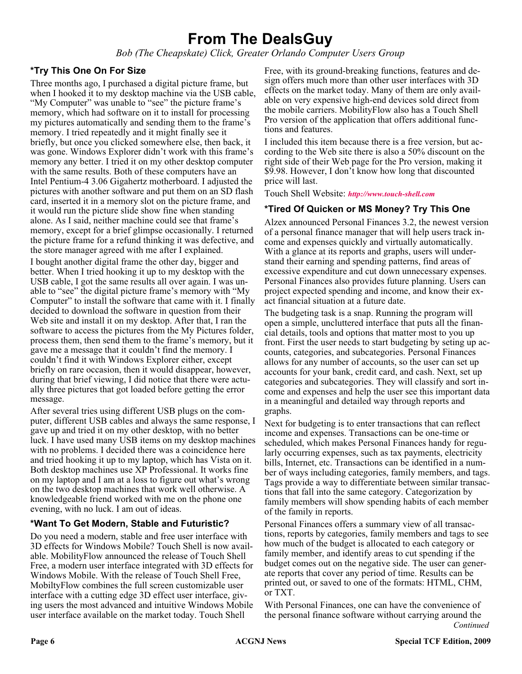# **From The DealsGuy**

*Bob (The Cheapskate) Click, Greater Orlando Computer Users Group*

### **\*Try This One On For Size**

Three months ago, I purchased a digital picture frame, but when I hooked it to my desktop machine via the USB cable, "My Computer" was unable to "see" the picture frame's memory, which had software on it to install for processing my pictures automatically and sending them to the frame's memory. I tried repeatedly and it might finally see it briefly, but once you clicked somewhere else, then back, it was gone. Windows Explorer didn't work with this frame's memory any better. I tried it on my other desktop computer with the same results. Both of these computers have an Intel Pentium-4 3.06 Gigahertz motherboard. I adjusted the pictures with another software and put them on an SD flash card, inserted it in a memory slot on the picture frame, and it would run the picture slide show fine when standing alone. As I said, neither machine could see that frame's memory, except for a brief glimpse occasionally. I returned the picture frame for a refund thinking it was defective, and the store manager agreed with me after I explained.

I bought another digital frame the other day, bigger and better. When I tried hooking it up to my desktop with the USB cable, I got the same results all over again. I was unable to "see" the digital picture frame's memory with "My Computer" to install the software that came with it. I finally decided to download the software in question from their Web site and install it on my desktop. After that, I ran the software to access the pictures from the My Pictures folder, process them, then send them to the frame's memory, but it gave me a message that it couldn't find the memory. I couldn't find it with Windows Explorer either, except briefly on rare occasion, then it would disappear, however, during that brief viewing, I did notice that there were actually three pictures that got loaded before getting the error message.

After several tries using different USB plugs on the computer, different USB cables and always the same response, I gave up and tried it on my other desktop, with no better luck. I have used many USB items on my desktop machines with no problems. I decided there was a coincidence here and tried hooking it up to my laptop, which has Vista on it. Both desktop machines use XP Professional. It works fine on my laptop and I am at a loss to figure out what's wrong on the two desktop machines that work well otherwise. A knowledgeable friend worked with me on the phone one evening, with no luck. I am out of ideas.

#### **\*Want To Get Modern, Stable and Futuristic?**

Do you need a modern, stable and free user interface with 3D effects for Windows Mobile? Touch Shell is now available. MobilityFlow announced the release of Touch Shell Free, a modern user interface integrated with 3D effects for Windows Mobile. With the release of Touch Shell Free, MobiltyFlow combines the full screen customizable user interface with a cutting edge 3D effect user interface, giving users the most advanced and intuitive Windows Mobile user interface available on the market today. Touch Shell

Free, with its ground-breaking functions, features and design offers much more than other user interfaces with 3D effects on the market today. Many of them are only available on very expensive high-end devices sold direct from the mobile carriers. MobilityFlow also has a Touch Shell Pro version of the application that offers additional functions and features.

I included this item because there is a free version, but according to the Web site there is also a 50% discount on the right side of their Web page for the Pro version, making it \$9.98. However, I don't know how long that discounted price will last.

Touch Shell Website: *<http://www.touch-shell.com>*

#### **\*Tired Of Quicken or MS Money? Try This One**

Alzex announced Personal Finances 3.2, the newest version of a personal finance manager that will help users track income and expenses quickly and virtually automatically. With a glance at its reports and graphs, users will understand their earning and spending patterns, find areas of excessive expenditure and cut down unnecessary expenses. Personal Finances also provides future planning. Users can project expected spending and income, and know their exact financial situation at a future date.

The budgeting task is a snap. Running the program will open a simple, uncluttered interface that puts all the financial details, tools and options that matter most to you up front. First the user needs to start budgeting by seting up accounts, categories, and subcategories. Personal Finances allows for any number of accounts, so the user can set up accounts for your bank, credit card, and cash. Next, set up categories and subcategories. They will classify and sort income and expenses and help the user see this important data in a meaningful and detailed way through reports and graphs.

Next for budgeting is to enter transactions that can reflect income and expenses. Transactions can be one-time or scheduled, which makes Personal Finances handy for regularly occurring expenses, such as tax payments, electricity bills, Internet, etc. Transactions can be identified in a number of ways including categories, family members, and tags. Tags provide a way to differentiate between similar transactions that fall into the same category. Categorization by family members will show spending habits of each member of the family in reports.

Personal Finances offers a summary view of all transactions, reports by categories, family members and tags to see how much of the budget is allocated to each category or family member, and identify areas to cut spending if the budget comes out on the negative side. The user can generate reports that cover any period of time. Results can be printed out, or saved to one of the formats: HTML, CHM, or TXT.

*Continued* With Personal Finances, one can have the convenience of the personal finance software without carrying around the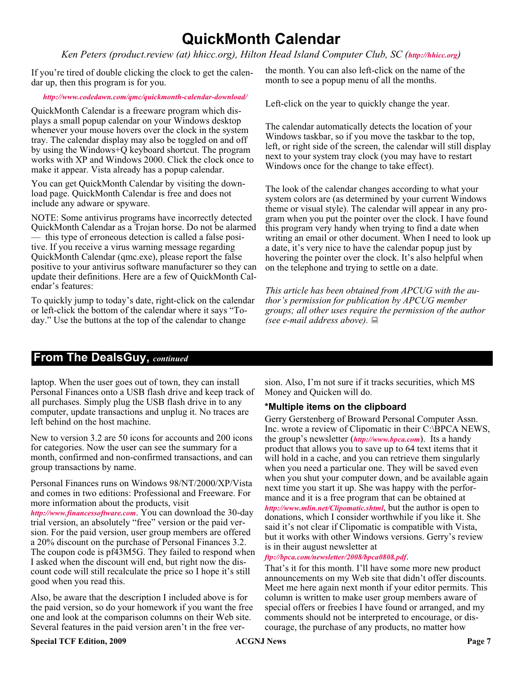# **QuickMonth Calendar**

#### *Ken Peters (product.review (at) hhicc.org), Hilton Head Island Computer Club, SC (<http://hhicc.org>)*

If you're tired of double clicking the clock to get the calendar up, then this program is for you.

#### *<http://www.codedawn.com/qmc/quickmonth-calendar-download/>*

QuickMonth Calendar is a freeware program which displays a small popup calendar on your Windows desktop whenever your mouse hovers over the clock in the system tray. The calendar display may also be toggled on and off by using the Windows+Q keyboard shortcut. The program works with XP and Windows 2000. Click the clock once to make it appear. Vista already has a popup calendar.

You can get QuickMonth Calendar by visiting the download page. QuickMonth Calendar is free and does not include any adware or spyware.

NOTE: Some antivirus programs have incorrectly detected QuickMonth Calendar as a Trojan horse. Do not be alarmed — this type of erroneous detection is called a false positive. If you receive a virus warning message regarding QuickMonth Calendar (qmc.exe), please report the false positive to your antivirus software manufacturer so they can update their definitions. Here are a few of QuickMonth Calendar's features:

To quickly jump to today's date, right-click on the calendar or left-click the bottom of the calendar where it says "Today." Use the buttons at the top of the calendar to change

the month. You can also left-click on the name of the month to see a popup menu of all the months.

Left-click on the year to quickly change the year.

The calendar automatically detects the location of your Windows taskbar, so if you move the taskbar to the top, left, or right side of the screen, the calendar will still display next to your system tray clock (you may have to restart Windows once for the change to take effect).

The look of the calendar changes according to what your system colors are (as determined by your current Windows theme or visual style). The calendar will appear in any program when you put the pointer over the clock. I have found this program very handy when trying to find a date when writing an email or other document. When I need to look up a date, it's very nice to have the calendar popup just by hovering the pointer over the clock. It's also helpful when on the telephone and trying to settle on a date.

*This article has been obtained from APCUG with the author's permission for publication by APCUG member groups; all other uses require the permission of the author (see e-mail address above).*

### **From The DealsGuy,** *continued*

laptop. When the user goes out of town, they can install Personal Finances onto a USB flash drive and keep track of all purchases. Simply plug the USB flash drive in to any computer, update transactions and unplug it. No traces are left behind on the host machine.

New to version 3.2 are 50 icons for accounts and 200 icons for categories. Now the user can see the summary for a month, confirmed and non-confirmed transactions, and can group transactions by name.

Personal Finances runs on Windows 98/NT/2000/XP/Vista and comes in two editions: Professional and Freeware. For more information about the products, visit *<http://www.financessoftware.com>*. You can download the 30-day trial version, an absolutely "free" version or the paid version. For the paid version, user group members are offered a 20% discount on the purchase of Personal Finances 3.2. The coupon code is pf43M5G. They failed to respond when I asked when the discount will end, but right now the discount code will still recalculate the price so I hope it's still good when you read this.

Also, be aware that the description I included above is for the paid version, so do your homework if you want the free one and look at the comparison columns on their Web site. Several features in the paid version aren't in the free version. Also, I'm not sure if it tracks securities, which MS Money and Quicken will do.

#### **\*Multiple items on the clipboard**

Gerry Gerstenberg of Broward Personal Computer Assn. Inc. wrote a review of Clipomatic in their C:\BPCA NEWS, the group's newsletter (*<http://www.bpca.com>*). Its a handy product that allows you to save up to 64 text items that it will hold in a cache, and you can retrieve them singularly when you need a particular one. They will be saved even when you shut your computer down, and be available again next time you start it up. She was happy with the performance and it is a free program that can be obtained at *<http://www.mlin.net/Clipomatic.shtml>*, but the author is open to donations, which I consider worthwhile if you like it. She said it's not clear if Clipomatic is compatible with Vista, but it works with other Windows versions. Gerry's review is in their august newsletter at

*<ftp://bpca.com/newsletter/2008/bpca0808.pdf>*.

That's it for this month. I'll have some more new product announcements on my Web site that didn't offer discounts. Meet me here again next month if your editor permits. This column is written to make user group members aware of special offers or freebies I have found or arranged, and my comments should not be interpreted to encourage, or discourage, the purchase of any products, no matter how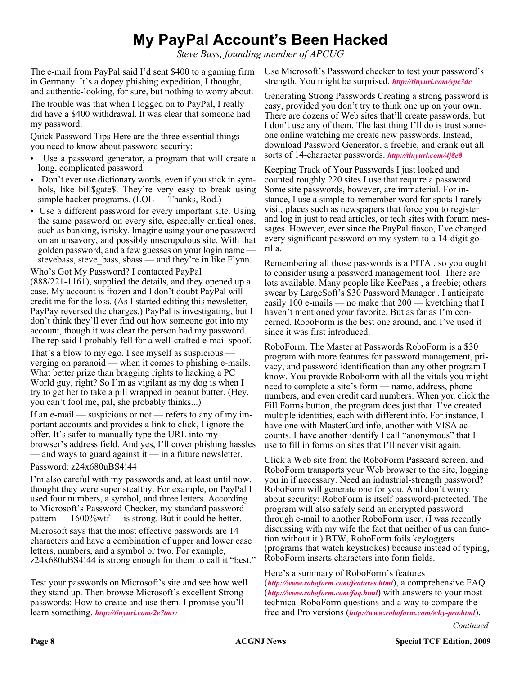# **My PayPal Account's Been Hacked**

*Steve Bass, founding member of APCUG*

The e-mail from PayPal said I'd sent \$400 to a gaming firm in Germany. It's a dopey phishing expedition, I thought, and authentic-looking, for sure, but nothing to worry about.

The trouble was that when I logged on to PayPal, I really did have a \$400 withdrawal. It was clear that someone had my password.

Quick Password Tips Here are the three essential things you need to know about password security:

- Use a password generator, a program that will create a long, complicated password.
- Don't ever use dictionary words, even if you stick in symbols, like bill\$gate\$. They're very easy to break using simple hacker programs. (LOL — Thanks, Rod.)
- Use a different password for every important site. Using the same password on every site, especially critical ones, such as banking, is risky. Imagine using your one password on an unsavory, and possibly unscrupulous site. With that golden password, and a few guesses on your login name stevebass, steve bass, sbass — and they're in like Flynn.

Who's Got My Password? I contacted PayPal (888/221-1161), supplied the details, and they opened up a case. My account is frozen and I don't doubt PayPal will credit me for the loss. (As I started editing this newsletter, PayPay reversed the charges.) PayPal is investigating, but I don't think they'll ever find out how someone got into my account, though it was clear the person had my password. The rep said I probably fell for a well-crafted e-mail spoof.

That's a blow to my ego. I see myself as suspicious verging on paranoid — when it comes to phishing e-mails. What better prize than bragging rights to hacking a PC World guy, right? So I'm as vigilant as my dog is when I try to get her to take a pill wrapped in peanut butter. (Hey, you can't fool me, pal, she probably thinks...)

If an e-mail — suspicious or not — refers to any of my important accounts and provides a link to click, I ignore the offer. It's safer to manually type the URL into my browser's address field. And yes, I'll cover phishing hassles — and ways to guard against it — in a future newsletter.

Password: z24x680uBS4!44

I'm also careful with my passwords and, at least until now, thought they were super stealthy. For example, on PayPal I used four numbers, a symbol, and three letters. According to Microsoft's Password Checker, my standard password pattern —  $1600\%$  wtf — is strong. But it could be better.

Microsoft says that the most effective passwords are 14 characters and have a combination of upper and lower case letters, numbers, and a symbol or two. For example, z24x680uBS4!44 is strong enough for them to call it "best."

Test your passwords on Microsoft's site and see how well they stand up. Then browse Microsoft's excellent Strong passwords: How to create and use them. I promise you'll learn something. *<http://tinyurl.com/2e7tmw>*

Use Microsoft's Password checker to test your password's strength. You might be surprised. *<http://tinyurl.com/ypc3dc>*

Generating Strong Passwords Creating a strong password is easy, provided you don't try to think one up on your own. There are dozens of Web sites that'll create passwords, but I don't use any of them. The last thing I'll do is trust someone online watching me create new passwords. Instead, download Password Generator, a freebie, and crank out all sorts of 14-character passwords. *<http://tinyurl.com/4j8e8>*

Keeping Track of Your Passwords I just looked and counted roughly 220 sites I use that require a password. Some site passwords, however, are immaterial. For instance, I use a simple-to-remember word for spots I rarely visit, places such as newspapers that force you to register and log in just to read articles, or tech sites with forum messages. However, ever since the PayPal fiasco, I've changed every significant password on my system to a 14-digit gorilla.

Remembering all those passwords is a PITA , so you ought to consider using a password management tool. There are lots available. Many people like KeePass , a freebie; others swear by LargeSoft's \$30 Password Manager . I anticipate easily 100 e-mails — no make that 200 — kvetching that I haven't mentioned your favorite. But as far as I'm concerned, RoboForm is the best one around, and I've used it since it was first introduced.

RoboForm, The Master at Passwords RoboForm is a \$30 program with more features for password management, privacy, and password identification than any other program I know. You provide RoboForm with all the vitals you might need to complete a site's form — name, address, phone numbers, and even credit card numbers. When you click the Fill Forms button, the program does just that. I've created multiple identities, each with different info. For instance, I have one with MasterCard info, another with VISA accounts. I have another identify I call "anonymous" that I use to fill in forms on sites that I'll never visit again.

Click a Web site from the RoboForm Passcard screen, and RoboForm transports your Web browser to the site, logging you in if necessary. Need an industrial-strength password? RoboForm will generate one for you. And don't worry about security: RoboForm is itself password-protected. The program will also safely send an encrypted password through e-mail to another RoboForm user. (I was recently discussing with my wife the fact that neither of us can function without it.) BTW, RoboForm foils keyloggers (programs that watch keystrokes) because instead of typing, RoboForm inserts characters into form fields.

Here's a summary of RoboForm's features (*<http://www.roboform.com/features.html>*), a comprehensive FAQ (*<http://www.roboform.com/faq.html>*) with answers to your most technical RoboForm questions and a way to compare the free and Pro versions (*<http://www.roboform.com/why-pro.html>*).

*Continued*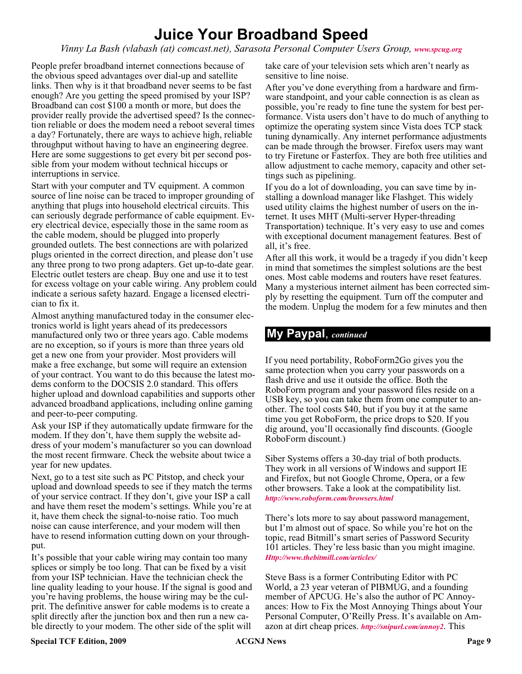# **Juice Your Broadband Speed**

*Vinny La Bash (vlabash (at) comcast.net), Sarasota Personal Computer Users Group, [www.spcug.org](http://www.spcug.org)*

People prefer broadband internet connections because of the obvious speed advantages over dial-up and satellite links. Then why is it that broadband never seems to be fast enough? Are you getting the speed promised by your ISP? Broadband can cost \$100 a month or more, but does the provider really provide the advertised speed? Is the connection reliable or does the modem need a reboot several times a day? Fortunately, there are ways to achieve high, reliable throughput without having to have an engineering degree. Here are some suggestions to get every bit per second possible from your modem without technical hiccups or interruptions in service.

Start with your computer and TV equipment. A common source of line noise can be traced to improper grounding of anything that plugs into household electrical circuits. This can seriously degrade performance of cable equipment. Every electrical device, especially those in the same room as the cable modem, should be plugged into properly grounded outlets. The best connections are with polarized plugs oriented in the correct direction, and please don't use any three prong to two prong adapters. Get up-to-date gear. Electric outlet testers are cheap. Buy one and use it to test for excess voltage on your cable wiring. Any problem could indicate a serious safety hazard. Engage a licensed electrician to fix it.

Almost anything manufactured today in the consumer electronics world is light years ahead of its predecessors manufactured only two or three years ago. Cable modems are no exception, so if yours is more than three years old get a new one from your provider. Most providers will make a free exchange, but some will require an extension of your contract. You want to do this because the latest modems conform to the DOCSIS 2.0 standard. This offers higher upload and download capabilities and supports other advanced broadband applications, including online gaming and peer-to-peer computing.

Ask your ISP if they automatically update firmware for the modem. If they don't, have them supply the website address of your modem's manufacturer so you can download the most recent firmware. Check the website about twice a year for new updates.

Next, go to a test site such as PC Pitstop, and check your upload and download speeds to see if they match the terms of your service contract. If they don't, give your ISP a call and have them reset the modem's settings. While you're at it, have them check the signal-to-noise ratio. Too much noise can cause interference, and your modem will then have to resend information cutting down on your throughput.

It's possible that your cable wiring may contain too many splices or simply be too long. That can be fixed by a visit from your ISP technician. Have the technician check the line quality leading to your house. If the signal is good and you're having problems, the house wiring may be the culprit. The definitive answer for cable modems is to create a split directly after the junction box and then run a new cable directly to your modem. The other side of the split will

take care of your television sets which aren't nearly as sensitive to line noise.

After you've done everything from a hardware and firmware standpoint, and your cable connection is as clean as possible, you're ready to fine tune the system for best performance. Vista users don't have to do much of anything to optimize the operating system since Vista does TCP stack tuning dynamically. Any internet performance adjustments can be made through the browser. Firefox users may want to try Firetune or Fasterfox. They are both free utilities and allow adjustment to cache memory, capacity and other settings such as pipelining.

If you do a lot of downloading, you can save time by installing a download manager like Flashget. This widely used utility claims the highest number of users on the internet. It uses MHT (Multi-server Hyper-threading Transportation) technique. It's very easy to use and comes with exceptional document management features. Best of all, it's free.

After all this work, it would be a tragedy if you didn't keep in mind that sometimes the simplest solutions are the best ones. Most cable modems and routers have reset features. Many a mysterious internet ailment has been corrected simply by resetting the equipment. Turn off the computer and the modem. Unplug the modem for a few minutes and then

### **My Paypal**, *continued*

If you need portability, RoboForm2Go gives you the same protection when you carry your passwords on a flash drive and use it outside the office. Both the RoboForm program and your password files reside on a USB key, so you can take them from one computer to another. The tool costs \$40, but if you buy it at the same time you get RoboForm, the price drops to \$20. If you dig around, you'll occasionally find discounts. (Google RoboForm discount.)

Siber Systems offers a 30-day trial of both products. They work in all versions of Windows and support IE and Firefox, but not Google Chrome, Opera, or a few other browsers. Take a look at the compatibility list. *[http://www.roboform.com/browsers.html](http://www.roboform.com/browsers.html )*

There's lots more to say about password management, but I'm almost out of space. So while you're hot on the topic, read Bitmill's smart series of Password Security 101 articles. They're less basic than you might imagine. *<Http://www.thebitmill.com/articles/>*

Steve Bass is a former Contributing Editor with PC World, a 23 year veteran of PIBMUG, and a founding member of APCUG. He's also the author of PC Annoyances: How to Fix the Most Annoying Things about Your Personal Computer, O'Reilly Press. It's available on Amazon at dirt cheap prices. *<http://snipurl.com/annoy2>*. This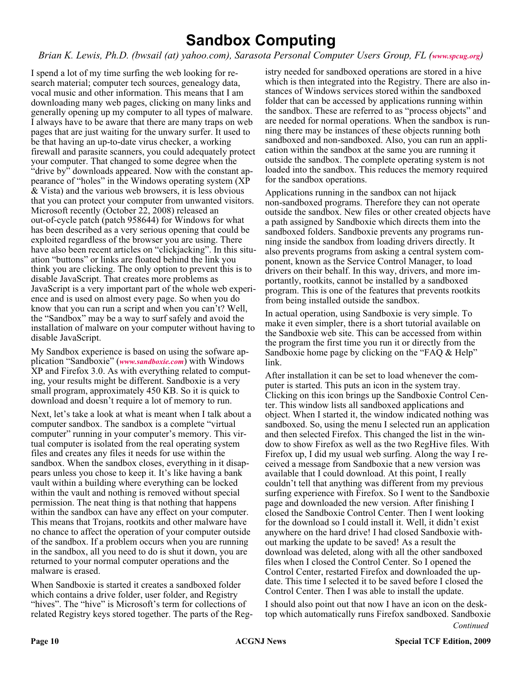# **Sandbox Computing**

*Brian K. Lewis, Ph.D. (bwsail (at) yahoo.com), Sarasota Personal Computer Users Group, FL ([www.spcug.org](http://www.spcug.org))*

I spend a lot of my time surfing the web looking for research material; computer tech sources, genealogy data, vocal music and other information. This means that I am downloading many web pages, clicking on many links and generally opening up my computer to all types of malware. I always have to be aware that there are many traps on web pages that are just waiting for the unwary surfer. It used to be that having an up-to-date virus checker, a working firewall and parasite scanners, you could adequately protect your computer. That changed to some degree when the "drive by" downloads appeared. Now with the constant appearance of "holes" in the Windows operating system (XP & Vista) and the various web browsers, it is less obvious that you can protect your computer from unwanted visitors. Microsoft recently (October 22, 2008) released an out-of-cycle patch (patch 958644) for Windows for what has been described as a very serious opening that could be exploited regardless of the browser you are using. There have also been recent articles on "clickjacking". In this situation "buttons" or links are floated behind the link you think you are clicking. The only option to prevent this is to disable JavaScript. That creates more problems as JavaScript is a very important part of the whole web experience and is used on almost every page. So when you do know that you can run a script and when you can't? Well, the "Sandbox" may be a way to surf safely and avoid the installation of malware on your computer without having to disable JavaScript.

My Sandbox experience is based on using the sofware application "Sandboxie" (*[www.sandboxie.com](http://www.sandboxie.com)*) with Windows XP and Firefox 3.0. As with everything related to computing, your results might be different. Sandboxie is a very small program, approximately 450 KB. So it is quick to download and doesn't require a lot of memory to run.

Next, let's take a look at what is meant when I talk about a computer sandbox. The sandbox is a complete "virtual computer" running in your computer's memory. This virtual computer is isolated from the real operating system files and creates any files it needs for use within the sandbox. When the sandbox closes, everything in it disappears unless you chose to keep it. It's like having a bank vault within a building where everything can be locked within the vault and nothing is removed without special permission. The neat thing is that nothing that happens within the sandbox can have any effect on your computer. This means that Trojans, rootkits and other malware have no chance to affect the operation of your computer outside of the sandbox. If a problem occurs when you are running in the sandbox, all you need to do is shut it down, you are returned to your normal computer operations and the malware is erased.

When Sandboxie is started it creates a sandboxed folder which contains a drive folder, user folder, and Registry "hives". The "hive" is Microsoft's term for collections of related Registry keys stored together. The parts of the Reg-

istry needed for sandboxed operations are stored in a hive which is then integrated into the Registry. There are also instances of Windows services stored within the sandboxed folder that can be accessed by applications running within the sandbox. These are referred to as "process objects" and are needed for normal operations. When the sandbox is running there may be instances of these objects running both sandboxed and non-sandboxed. Also, you can run an application within the sandbox at the same you are running it outside the sandbox. The complete operating system is not loaded into the sandbox. This reduces the memory required for the sandbox operations.

Applications running in the sandbox can not hijack non-sandboxed programs. Therefore they can not operate outside the sandbox. New files or other created objects have a path assigned by Sandboxie which directs them into the sandboxed folders. Sandboxie prevents any programs running inside the sandbox from loading drivers directly. It also prevents programs from asking a central system component, known as the Service Control Manager, to load drivers on their behalf. In this way, drivers, and more importantly, rootkits, cannot be installed by a sandboxed program. This is one of the features that prevents rootkits from being installed outside the sandbox.

In actual operation, using Sandboxie is very simple. To make it even simpler, there is a short tutorial available on the Sandboxie web site. This can be accessed from within the program the first time you run it or directly from the Sandboxie home page by clicking on the "FAQ & Help" link.

After installation it can be set to load whenever the computer is started. This puts an icon in the system tray. Clicking on this icon brings up the Sandboxie Control Center. This window lists all sandboxed applications and object. When I started it, the window indicated nothing was sandboxed. So, using the menu I selected run an application and then selected Firefox. This changed the list in the window to show Firefox as well as the two RegHive files. With Firefox up, I did my usual web surfing. Along the way I received a message from Sandboxie that a new version was available that I could download. At this point, I really couldn't tell that anything was different from my previous surfing experience with Firefox. So I went to the Sandboxie page and downloaded the new version. After finishing I closed the Sandboxie Control Center. Then I went looking for the download so I could install it. Well, it didn't exist anywhere on the hard drive! I had closed Sandboxie without marking the update to be saved! As a result the download was deleted, along with all the other sandboxed files when I closed the Control Center. So I opened the Control Center, restarted Firefox and downloaded the update. This time I selected it to be saved before I closed the Control Center. Then I was able to install the update.

*Continued* I should also point out that now I have an icon on the desktop which automatically runs Firefox sandboxed. Sandboxie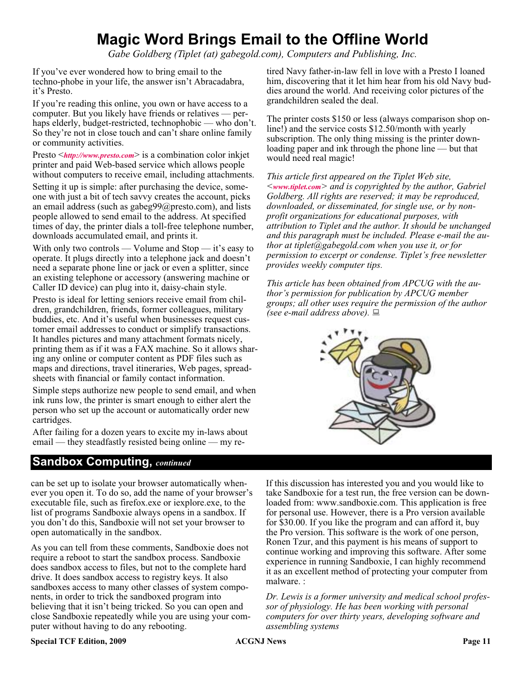# **Magic Word Brings Email to the Offline World**

*Gabe Goldberg (Tiplet (at) gabegold.com), Computers and Publishing, Inc.*

If you've ever wondered how to bring email to the techno-phobe in your life, the answer isn't Abracadabra, it's Presto.

If you're reading this online, you own or have access to a computer. But you likely have friends or relatives — perhaps elderly, budget-restricted, technophobic — who don't. So they're not in close touch and can't share online family or community activities.

Presto <*<http://www.presto.com>*> is a combination color inkjet printer and paid Web-based service which allows people without computers to receive email, including attachments.

Setting it up is simple: after purchasing the device, someone with just a bit of tech savvy creates the account, picks an email address (such as gabeg99@presto.com), and lists people allowed to send email to the address. At specified times of day, the printer dials a toll-free telephone number, downloads accumulated email, and prints it.

With only two controls — Volume and Stop — it's easy to operate. It plugs directly into a telephone jack and doesn't need a separate phone line or jack or even a splitter, since an existing telephone or accessory (answering machine or Caller ID device) can plug into it, daisy-chain style.

Presto is ideal for letting seniors receive email from children, grandchildren, friends, former colleagues, military buddies, etc. And it's useful when businesses request customer email addresses to conduct or simplify transactions. It handles pictures and many attachment formats nicely, printing them as if it was a FAX machine. So it allows sharing any online or computer content as PDF files such as maps and directions, travel itineraries, Web pages, spreadsheets with financial or family contact information.

Simple steps authorize new people to send email, and when ink runs low, the printer is smart enough to either alert the person who set up the account or automatically order new cartridges.

After failing for a dozen years to excite my in-laws about email — they steadfastly resisted being online — my re-

### **Sandbox Computing,** *continued*

tired Navy father-in-law fell in love with a Presto I loaned him, discovering that it let him hear from his old Navy buddies around the world. And receiving color pictures of the grandchildren sealed the deal.

The printer costs \$150 or less (always comparison shop online!) and the service costs \$12.50/month with yearly subscription. The only thing missing is the printer downloading paper and ink through the phone line — but that would need real magic!

*This article first appeared on the Tiplet Web site, <[www.tiplet.com](http://www.tiplet.com)> and is copyrighted by the author, Gabriel Goldberg. All rights are reserved; it may be reproduced, downloaded, or disseminated, for single use, or by nonprofit organizations for educational purposes, with attribution to Tiplet and the author. It should be unchanged and this paragraph must be included. Please e-mail the author at tiplet@gabegold.com when you use it, or for permission to excerpt or condense. Tiplet's free newsletter provides weekly computer tips.*

*This article has been obtained from APCUG with the author's permission for publication by APCUG member groups; all other uses require the permission of the author (see e-mail address above).*



can be set up to isolate your browser automatically whenever you open it. To do so, add the name of your browser's executable file, such as firefox.exe or iexplore.exe, to the list of programs Sandboxie always opens in a sandbox. If you don't do this, Sandboxie will not set your browser to open automatically in the sandbox.

As you can tell from these comments, Sandboxie does not require a reboot to start the sandbox process. Sandboxie does sandbox access to files, but not to the complete hard drive. It does sandbox access to registry keys. It also sandboxes access to many other classes of system components, in order to trick the sandboxed program into believing that it isn't being tricked. So you can open and close Sandboxie repeatedly while you are using your computer without having to do any rebooting.

If this discussion has interested you and you would like to take Sandboxie for a test run, the free version can be downloaded from: www.sandboxie.com. This application is free for personal use. However, there is a Pro version available for \$30.00. If you like the program and can afford it, buy the Pro version. This software is the work of one person, Ronen Tzur, and this payment is his means of support to continue working and improving this software. After some experience in running Sandboxie, I can highly recommend it as an excellent method of protecting your computer from malware. :

*Dr. Lewis is a former university and medical school professor of physiology. He has been working with personal computers for over thirty years, developing software and assembling systems*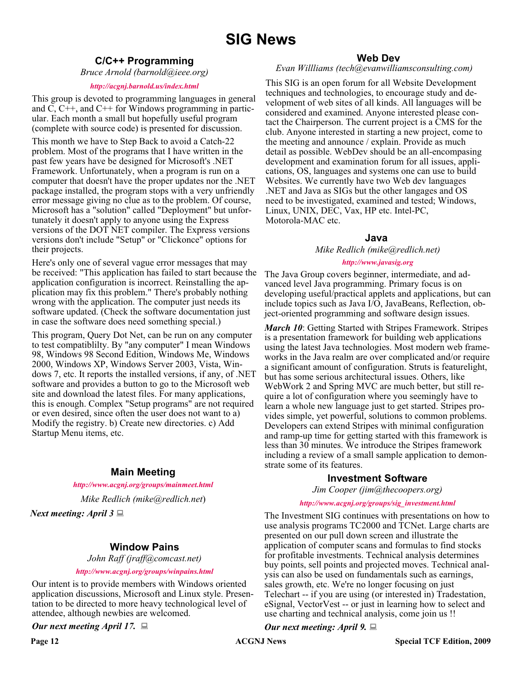# **SIG News**

### **C/C++ Programming**

*Bruce Arnold (barnold@ieee.org)*

#### *<http://acgnj.barnold.us/index.html>*

This group is devoted to programming languages in general and C, C++, and C++ for Windows programming in particular. Each month a small but hopefully useful program (complete with source code) is presented for discussion.

This month we have to Step Back to avoid a Catch-22 problem. Most of the programs that I have written in the past few years have be designed for Microsoft's .NET Framework. Unfortunately, when a program is run on a computer that doesn't have the proper updates nor the .NET package installed, the program stops with a very unfriendly error message giving no clue as to the problem. Of course, Microsoft has a "solution" called "Deployment" but unfortunately it doesn't apply to anyone using the Express versions of the DOT NET compiler. The Express versions versions don't include "Setup" or "Clickonce" options for their projects.

Here's only one of several vague error messages that may be received: "This application has failed to start because the application configuration is incorrect. Reinstalling the application may fix this problem." There's probably nothing wrong with the application. The computer just needs its software updated. (Check the software documentation just in case the software does need something special.)

This program, Query Dot Net, can be run on any computer to test compatiblilty. By "any computer" I mean Windows 98, Windows 98 Second Edition, Windows Me, Windows 2000, Windows XP, Windows Server 2003, Vista, Windows 7, etc. It reports the installed versions, if any, of .NET software and provides a button to go to the Microsoft web site and download the latest files. For many applications, this is enough. Complex "Setup programs" are not required or even desired, since often the user does not want to a) Modify the registry. b) Create new directories. c) Add Startup Menu items, etc.

#### **Main Meeting**

*<http://www.acgnj.org/groups/mainmeet.html>*

*Mike Redlich (mike@redlich.net*)

*Next meeting: April 3*

### **Window Pains**

*John Raff (jraff@comcast.net)*

*<http://www.acgnj.org/groups/winpains.html>*

Our intent is to provide members with Windows oriented application discussions, Microsoft and Linux style. Presentation to be directed to more heavy technological level of attendee, although newbies are welcomed.

*Our next meeting April 17.*

#### **Web Dev**

#### *Evan Willliams (tech@evanwilliamsconsulting.com)*

This SIG is an open forum for all Website Development techniques and technologies, to encourage study and development of web sites of all kinds. All languages will be considered and examined. Anyone interested please contact the Chairperson. The current project is a CMS for the club. Anyone interested in starting a new project, come to the meeting and announce / explain. Provide as much detail as possible. WebDev should be an all-encompasing development and examination forum for all issues, applications, OS, languages and systems one can use to build Websites. We currently have two Web dev languages .NET and Java as SIGs but the other langages and OS need to be investigated, examined and tested; Windows, Linux, UNIX, DEC, Vax, HP etc. Intel-PC, Motorola-MAC etc.

#### **Java**

*Mike Redlich (mike@redlich.net)*

#### *<http://www.javasig.org>*

The Java Group covers beginner, intermediate, and advanced level Java programming. Primary focus is on developing useful/practical applets and applications, but can include topics such as Java I/O, JavaBeans, Reflection, object-oriented programming and software design issues.

*March 10*: Getting Started with Stripes Framework. Stripes is a presentation framework for building web applications using the latest Java technologies. Most modern web frameworks in the Java realm are over complicated and/or require a significant amount of configuration. Struts is featurelight, but has some serious architectural issues. Others, like WebWork 2 and Spring MVC are much better, but still require a lot of configuration where you seemingly have to learn a whole new language just to get started. Stripes provides simple, yet powerful, solutions to common problems. Developers can extend Stripes with minimal configuration and ramp-up time for getting started with this framework is less than 30 minutes. We introduce the Stripes framework including a review of a small sample application to demonstrate some of its features.

#### **Investment Software**

*Jim Cooper (jim@thecoopers.org)*

#### *[http://www.acgnj.org/groups/sig\\_investment.html](http://www.acgnj.org/groups/sig_investment.html)*

The Investment SIG continues with presentations on how to use analysis programs TC2000 and TCNet. Large charts are presented on our pull down screen and illustrate the application of computer scans and formulas to find stocks for profitable investments. Technical analysis determines buy points, sell points and projected moves. Technical analysis can also be used on fundamentals such as earnings, sales growth, etc. We're no longer focusing on just Telechart -- if you are using (or interested in) Tradestation, eSignal, VectorVest -- or just in learning how to select and use charting and technical analysis, come join us !!

*Our next meeting: April 9.*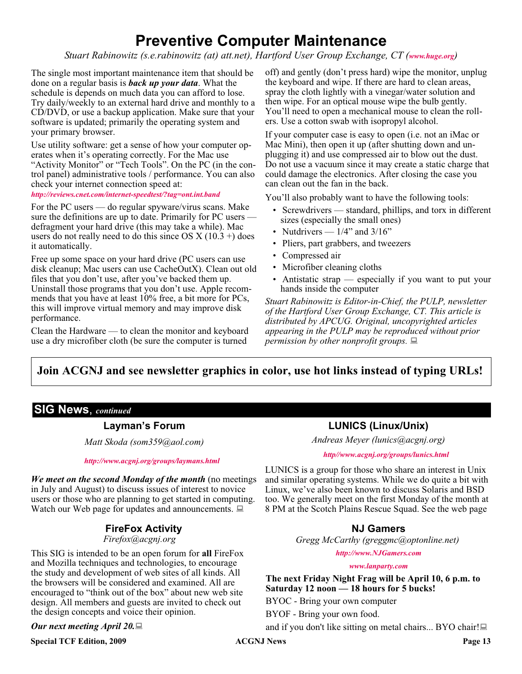# **Preventive Computer Maintenance**

*Stuart Rabinowitz (s.e.rabinowitz (at) att.net), Hartford User Group Exchange, CT ([www.huge.org](http://www.huge.org))*

The single most important maintenance item that should be done on a regular basis is *back up your data*. What the schedule is depends on much data you can afford to lose. Try daily/weekly to an external hard drive and monthly to a CD/DVD, or use a backup application. Make sure that your software is updated; primarily the operating system and your primary browser.

Use utility software: get a sense of how your computer operates when it's operating correctly. For the Mac use "Activity Monitor" or "Tech Tools". On the PC (in the control panel) administrative tools / performance. You can also check your internet connection speed at:

#### *<http://reviews.cnet.com/internet-speedtest/?tag=ont.int.band>*

For the PC users — do regular spyware/virus scans. Make sure the definitions are up to date. Primarily for PC users defragment your hard drive (this may take a while). Mac users do not really need to do this since OS  $X(10.3 +)$  does it automatically.

Free up some space on your hard drive (PC users can use disk cleanup; Mac users can use CacheOutX). Clean out old files that you don't use, after you've backed them up. Uninstall those programs that you don't use. Apple recommends that you have at least 10% free, a bit more for PCs, this will improve virtual memory and may improve disk performance.

Clean the Hardware — to clean the monitor and keyboard use a dry microfiber cloth (be sure the computer is turned

off) and gently (don't press hard) wipe the monitor, unplug the keyboard and wipe. If there are hard to clean areas, spray the cloth lightly with a vinegar/water solution and then wipe. For an optical mouse wipe the bulb gently. You'll need to open a mechanical mouse to clean the rollers. Use a cotton swab with isopropyl alcohol.

If your computer case is easy to open (i.e. not an iMac or Mac Mini), then open it up (after shutting down and unplugging it) and use compressed air to blow out the dust. Do not use a vacuum since it may create a static charge that could damage the electronics. After closing the case you can clean out the fan in the back.

You'll also probably want to have the following tools:

- Screwdrivers standard, phillips, and torx in different sizes (especially the small ones)
- Nutdrivers  $-1/4$ " and  $3/16$ "
- Pliers, part grabbers, and tweezers
- Compressed air
- Microfiber cleaning cloths
- Antistatic strap especially if you want to put your hands inside the computer

*Stuart Rabinowitz is Editor-in-Chief, the PULP, newsletter of the Hartford User Group Exchange, CT. This article is distributed by APCUG. Original, uncopyrighted articles appearing in the PULP may be reproduced without prior permission by other nonprofit groups.*

### **Join ACGNJ and see newsletter graphics in color, use hot links instead of typing URLs!**

#### **SIG News**, *continued*

#### **Layman's Forum**

*Matt Skoda (som359@aol.com)*

*<http://www.acgnj.org/groups/laymans.html>*

*We meet on the second Monday of the month* (no meetings in July and August) to discuss issues of interest to novice users or those who are planning to get started in computing. Watch our Web page for updates and announcements.  $\Box$ 

### **FireFox Activity**

#### *Firefox@acgnj.org*

This SIG is intended to be an open forum for **all** FireFox and Mozilla techniques and technologies, to encourage the study and development of web sites of all kinds. All the browsers will be considered and examined. All are encouraged to "think out of the box" about new web site design. All members and guests are invited to check out the design concepts and voice their opinion.

#### *Our next meeting April 20.*

**Special TCF Edition, 2009 ACGNJ News Page 13** 

### **LUNICS (Linux/Unix)**

*Andreas Meyer (lunics@acgnj.org)*

#### *<http//www.acgnj.org/groups/lunics.html>*

LUNICS is a group for those who share an interest in Unix and similar operating systems. While we do quite a bit with Linux, we've also been known to discuss Solaris and BSD too. We generally meet on the first Monday of the month at 8 PM at the Scotch Plains Rescue Squad. See the web page

#### **NJ Gamers**

*Gregg McCarthy (greggmc@optonline.net)*

*<http://www.NJGamers.com>*

*[www.lanparty.com](http://www.lanparty.com)*

**The next Friday Night Frag will be April 10, 6 p.m. to Saturday 12 noon — 18 hours for 5 bucks!**

BYOC - Bring your own computer

BYOF - Bring your own food.

and if you don't like sitting on metal chairs... BYO chair!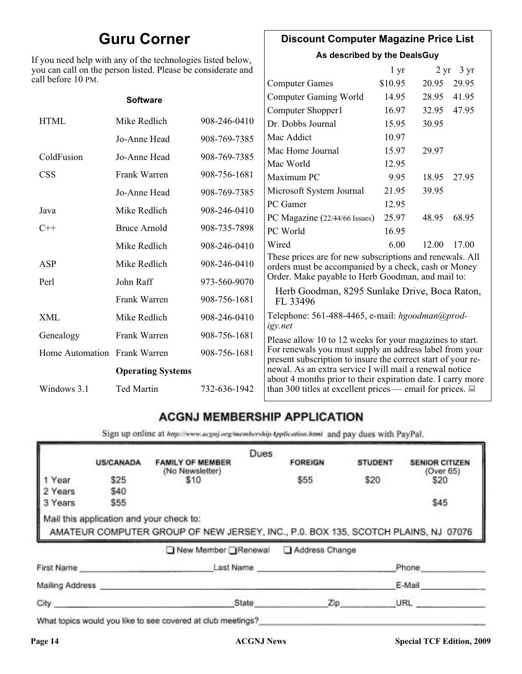# **Guru Corner**

If you need help with any of the technologies listed below, you can call on the person listed. Please be considerate and ca

### **Discount Computer Magazine Price List**

**As described by the DealsGuy**

| ou can call on the person listed. Please be considerate and<br>ll before 10 PM. |                   |              | $1 \, yr$                                                                                                               |         | $2 \text{ yr}$ 3 yr |       |
|---------------------------------------------------------------------------------|-------------------|--------------|-------------------------------------------------------------------------------------------------------------------------|---------|---------------------|-------|
|                                                                                 |                   |              | <b>Computer Games</b>                                                                                                   | \$10.95 | 20.95               | 29.95 |
|                                                                                 | <b>Software</b>   |              | <b>Computer Gaming World</b>                                                                                            | 14.95   | 28.95               | 41.95 |
|                                                                                 |                   |              | Computer Shopper1                                                                                                       | 16.97   | 32.95               | 47.95 |
| <b>HTML</b>                                                                     | Mike Redlich      | 908-246-0410 | Dr. Dobbs Journal                                                                                                       | 15.95   | 30.95               |       |
|                                                                                 | Jo-Anne Head      | 908-769-7385 | Mac Addict                                                                                                              | 10.97   |                     |       |
| ColdFusion                                                                      | Jo-Anne Head      | 908-769-7385 | Mac Home Journal                                                                                                        | 15.97   | 29.97               |       |
|                                                                                 |                   |              | Mac World                                                                                                               | 12.95   |                     |       |
| <b>CSS</b>                                                                      | Frank Warren      | 908-756-1681 | Maximum PC                                                                                                              | 9.95    | 18.95               | 27.95 |
|                                                                                 | Jo-Anne Head      | 908-769-7385 | Microsoft System Journal                                                                                                | 21.95   | 39.95               |       |
| Java                                                                            | Mike Redlich      | 908-246-0410 | PC Gamer                                                                                                                | 12.95   |                     |       |
|                                                                                 |                   |              | PC Magazine (22/44/66 Issues)                                                                                           | 25.97   | 48.95               | 68.95 |
| $C++$                                                                           | Bruce Arnold      | 908-735-7898 | PC World                                                                                                                | 16.95   |                     |       |
|                                                                                 | Mike Redlich      | 908-246-0410 | Wired                                                                                                                   | 6.00    | 12.00               | 17.00 |
| ASP                                                                             | Mike Redlich      | 908-246-0410 | These prices are for new subscriptions and renewals. All<br>orders must be accompanied by a check, cash or Money        |         |                     |       |
| Perl                                                                            | John Raff         | 973-560-9070 | Order. Make payable to Herb Goodman, and mail to:                                                                       |         |                     |       |
|                                                                                 | Frank Warren      | 908-756-1681 | Herb Goodman, 8295 Sunlake Drive, Boca Raton,<br>FL 33496                                                               |         |                     |       |
| XML                                                                             | Mike Redlich      | 908-246-0410 | Telephone: 561-488-4465, e-mail: hgoodman@prod-<br>igy.net                                                              |         |                     |       |
| Genealogy                                                                       | Frank Warren      | 908-756-1681 | Please allow 10 to 12 weeks for your magazines to start.                                                                |         |                     |       |
| Home Automation Frank Warren                                                    |                   | 908-756-1681 | For renewals you must supply an address label from your<br>present subscription to insure the correct start of your re- |         |                     |       |
| <b>Operating Systems</b>                                                        |                   |              | newal. As an extra service I will mail a renewal notice<br>about 4 months prior to their expiration date. I carry more  |         |                     |       |
| Windows 3.1                                                                     | <b>Ted Martin</b> | 732-636-1942 | than 300 titles at excellent prices — email for prices. $\Box$                                                          |         |                     |       |

### **ACGNJ MEMBERSHIP APPLICATION**

Sign up online at http://www.acguj.org/membershipApplication.html and pay dues with PayPal.

|                 |                                          |                                                                                   | Dues |                |                |                                    |
|-----------------|------------------------------------------|-----------------------------------------------------------------------------------|------|----------------|----------------|------------------------------------|
|                 | <b>US/CANADA</b>                         | <b>FAMILY OF MEMBER</b><br>(No Newsletter)                                        |      | <b>FOREIGN</b> | <b>STUDENT</b> | <b>SENIOR CITIZEN</b><br>(Over 65) |
| I Year          | \$25                                     | \$10                                                                              |      | \$55           | \$20           | \$20                               |
| 2 Years         | \$40                                     |                                                                                   |      |                |                |                                    |
| 3 Years         | \$55                                     |                                                                                   |      |                |                | \$45                               |
|                 | Mail this application and your check to: | AMATEUR COMPUTER GROUP OF NEW JERSEY, INC., P.0. BOX 135, SCOTCH PLAINS, NJ 07076 |      |                |                |                                    |
|                 |                                          | ■ New Member Renewal                                                              |      | Address Change |                |                                    |
| First Name      |                                          |                                                                                   |      | Last Name      |                | Phone                              |
| Mailing Address |                                          |                                                                                   |      |                |                | E-Mail                             |

What topics would you like to see covered at club meetings?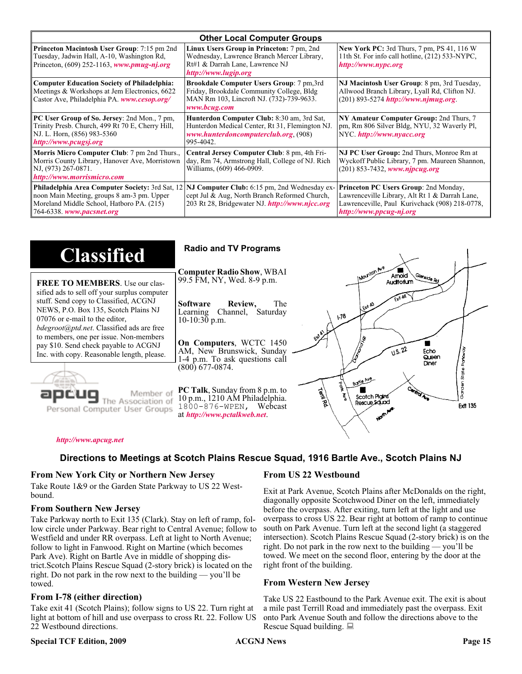| <b>Other Local Computer Groups</b>                                                                                                                                             |                                                                                                                                                           |                                                                                                                                                                      |  |  |
|--------------------------------------------------------------------------------------------------------------------------------------------------------------------------------|-----------------------------------------------------------------------------------------------------------------------------------------------------------|----------------------------------------------------------------------------------------------------------------------------------------------------------------------|--|--|
| <b>Princeton Macintosh User Group:</b> 7:15 pm 2nd<br>Tuesday, Jadwin Hall, A-10, Washington Rd,<br>Princeton, $(609)$ 252-1163, www.pmug-nj.org                               | Linux Users Group in Princeton: 7 pm, 2nd<br>Wednesday, Lawrence Branch Mercer Library,<br>Rt#1 & Darrah Lane, Lawrence NJ<br>http://www.lugip.org        | <b>New York PC:</b> 3rd Thurs, 7 pm, PS 41, 116 W<br>11th St. For info call hotline, (212) 533-NYPC,<br>http://www.nypc.org                                          |  |  |
| <b>Computer Education Society of Philadelphia:</b><br>Meetings & Workshops at Jem Electronics, 6622<br>Castor Ave, Philadelphia PA. www.cesop.org/                             | <b>Brookdale Computer Users Group:</b> 7 pm, 3rd<br>Friday, Brookdale Community College, Bldg<br>MAN Rm 103, Lincroft NJ. (732)-739-9633.<br>www.bcug.com | NJ Macintosh User Group: 8 pm, 3rd Tuesday,<br>Allwood Branch Library, Lyall Rd, Clifton NJ.<br>$(201)$ 893-5274 http://www.njmug.org                                |  |  |
| PC User Group of So. Jersey: 2nd Mon., 7 pm,<br>Trinity Presb. Church, 499 Rt 70 E, Cherry Hill,<br>NJ. L. Horn, (856) 983-5360<br>http://www.pcugsj.org                       | Hunterdon Computer Club: 8:30 am, 3rd Sat,<br>Hunterdon Medical Center, Rt 31, Flemington NJ.<br>www.hunterdoncomputerclub.org. (908)<br>995-4042.        | NY Amateur Computer Group: 2nd Thurs, 7<br>pm, Rm 806 Silver Bldg, NYU, 32 Waverly Pl,<br>NYC http://www.nyacc.org                                                   |  |  |
| Morris Micro Computer Club: 7 pm 2nd Thurs.,<br>Morris County Library, Hanover Ave, Morristown<br>NJ, (973) 267-0871.<br>http://www.morrismicro.com                            | Central Jersey Computer Club: 8 pm, 4th Fri-<br>day, Rm 74, Armstrong Hall, College of NJ. Rich<br>Williams, (609) 466-0909.                              | NJ PC User Group: 2nd Thurs, Monroe Rm at<br>Wyckoff Public Library, 7 pm. Maureen Shannon,<br>$(201)$ 853-7432, www.njpcug.org                                      |  |  |
| <b>Philadelphia Area Computer Society: 3rd Sat, 12</b><br>noon Main Meeting, groups 8 am-3 pm. Upper<br>Moreland Middle School, Hatboro PA. (215)<br>764-6338. www.pacsnet.org | NJ Computer Club: 6:15 pm, 2nd Wednesday ex-<br>cept Jul & Aug, North Branch Reformed Church,<br>203 Rt 28, Bridgewater NJ. http://www.njcc.org           | Princeton PC Users Group: 2nd Monday,<br>Lawrenceville Library, Alt Rt 1 & Darrah Lane,<br>Lawrenceville, Paul Kurivchack (908) 218-0778,<br>http://www.ppcug-nj.org |  |  |

| <b>Classified</b>                                                                                                                                                   | <b>Radio and TV Programs</b>                                                                                                                                          |
|---------------------------------------------------------------------------------------------------------------------------------------------------------------------|-----------------------------------------------------------------------------------------------------------------------------------------------------------------------|
| <b>FREE TO MEMBERS.</b> Use our clas-<br>sified ads to sell off your surplus computer                                                                               | INOUNION AVE<br><b>Computer Radio Show, WBAI</b><br>Amold<br>Glenside Rd<br>99.5 FM, NY, Wed. 8-9 p.m.                                                                |
| stuff. Send copy to Classified, ACGNJ<br>NEWS, P.O. Box 135, Scotch Plains NJ<br>07076 or e-mail to the editor,<br><i>bdegroot@ptd.net.</i> Classified ads are free | The<br><b>Software</b><br>Review,<br>LEXA A3<br>Channel, Saturday<br>Learning<br>$\sqrt{3}$<br>$10-10:30$ p.m.                                                        |
| to members, one per issue. Non-members<br>pay \$10. Send check payable to ACGNJ<br>Inc. with copy. Reasonable length, please.                                       | On Computers, WCTC 1450<br>0.5.22<br>AM, New Brunswick, Sunday<br>Echo<br>Queen<br>1-4 p.m. To ask questions call<br>Diner                                            |
| Member of                                                                                                                                                           | (800) 677-0874.<br>Borlo Ave<br><b>Cantrol Am</b><br><b>PC Talk</b> , Sunday from 8 p.m. to<br><b>Telli</b><br>Veg<br>Scotch Plains<br>10 p.m., 1210 AM Philadelphia. |
| ociation of<br>Personal Computer User Groups                                                                                                                        | Rescue Sound<br><b>Ext1 135</b><br>1800-876-WPEN, Webcast<br>at http://www.pctalkweb.net.<br>$A_{\mathbf{v}_\mu}$                                                     |

#### *<http://www.apcug.net>*

#### **Directions to Meetings at Scotch Plains Rescue Squad, 1916 Bartle Ave., Scotch Plains NJ**

#### **From New York City or Northern New Jersey**

Take Route 1&9 or the Garden State Parkway to US 22 Westbound.

#### **From Southern New Jersey**

Take Parkway north to Exit 135 (Clark). Stay on left of ramp, follow circle under Parkway. Bear right to Central Avenue; follow to Westfield and under RR overpass. Left at light to North Avenue; follow to light in Fanwood. Right on Martine (which becomes Park Ave). Right on Bartle Ave in middle of shopping district.Scotch Plains Rescue Squad (2-story brick) is located on the right. Do not park in the row next to the building — you'll be towed.

#### **From I-78 (either direction)**

Take exit 41 (Scotch Plains); follow signs to US 22. Turn right at light at bottom of hill and use overpass to cross Rt. 22. Follow US 22 Westbound directions.

#### **Special TCF Edition, 2009 ACGNJ News Page 15**

#### **From US 22 Westbound**

Exit at Park Avenue, Scotch Plains after McDonalds on the right, diagonally opposite Scotchwood Diner on the left, immediately before the overpass. After exiting, turn left at the light and use overpass to cross US 22. Bear right at bottom of ramp to continue south on Park Avenue. Turn left at the second light (a staggered intersection). Scotch Plains Rescue Squad (2-story brick) is on the right. Do not park in the row next to the building — you'll be towed. We meet on the second floor, entering by the door at the right front of the building.

#### **From Western New Jersey**

Take US 22 Eastbound to the Park Avenue exit. The exit is about a mile past Terrill Road and immediately past the overpass. Exit onto Park Avenue South and follow the directions above to the Rescue Squad building.